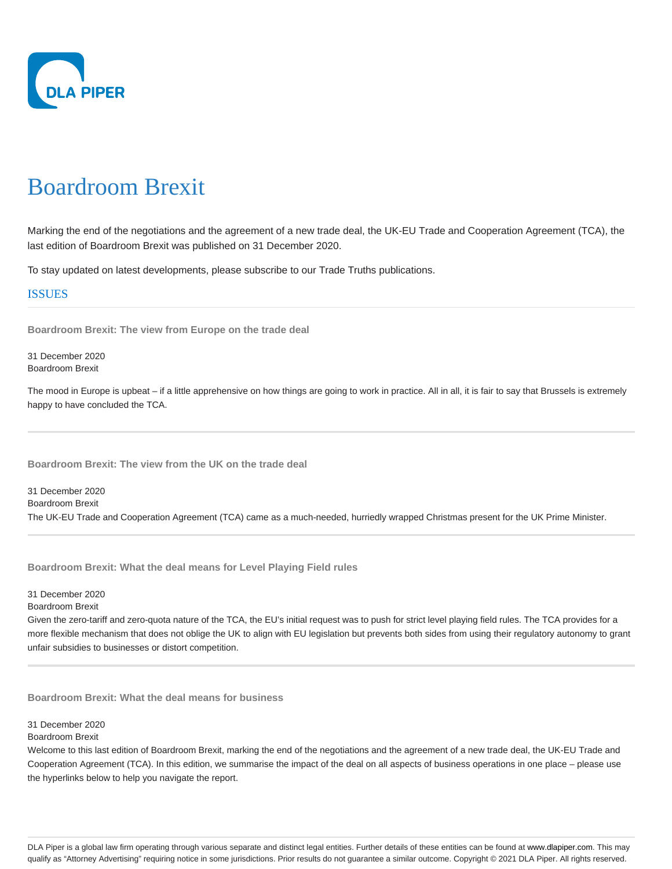

# Boardroom Brexit

Marking the end of the negotiations and the agreement of a new trade deal, the UK-EU Trade and Cooperation Agreement (TCA), the last edition of Boardroom Brexit was published on 31 December 2020.

To stay updated on latest developments, please subscribe to our Trade Truths publications.

# ISSUES

**Boardroom Brexit: The view from Europe on the trade deal**

31 December 2020 Boardroom Brexit

The mood in Europe is upbeat – if a little apprehensive on how things are going to work in practice. All in all, it is fair to say that Brussels is extremely happy to have concluded the TCA.

**Boardroom Brexit: The view from the UK on the trade deal**

31 December 2020 Boardroom Brexit The UK-EU Trade and Cooperation Agreement (TCA) came as a much-needed, hurriedly wrapped Christmas present for the UK Prime Minister.

**Boardroom Brexit: What the deal means for Level Playing Field rules**

31 December 2020

Boardroom Brexit

Given the zero-tariff and zero-quota nature of the TCA, the EU's initial request was to push for strict level playing field rules. The TCA provides for a more flexible mechanism that does not oblige the UK to align with EU legislation but prevents both sides from using their regulatory autonomy to grant unfair subsidies to businesses or distort competition.

**Boardroom Brexit: What the deal means for business**

31 December 2020

Boardroom Brexit

Welcome to this last edition of Boardroom Brexit, marking the end of the negotiations and the agreement of a new trade deal, the UK-EU Trade and Cooperation Agreement (TCA). In this edition, we summarise the impact of the deal on all aspects of business operations in one place – please use the hyperlinks below to help you navigate the report.

DLA Piper is a global law firm operating through various separate and distinct legal entities. Further details of these entities can be found at www.dlapiper.com. This may qualify as "Attorney Advertising" requiring notice in some jurisdictions. Prior results do not guarantee a similar outcome. Copyright @ 2021 DLA Piper. All rights reserved.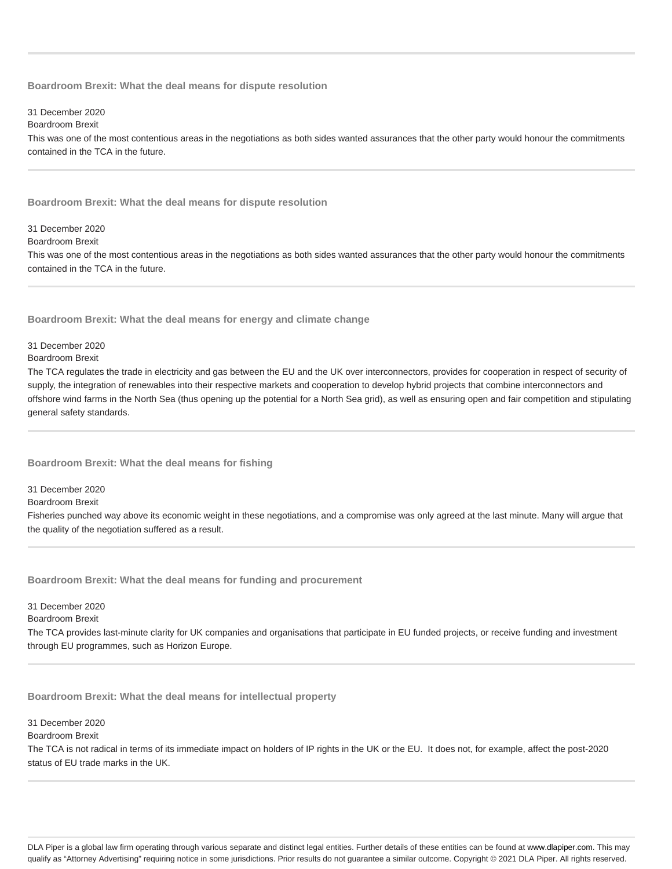## **Boardroom Brexit: What the deal means for dispute resolution**

## 31 December 2020

#### Boardroom Brexit

This was one of the most contentious areas in the negotiations as both sides wanted assurances that the other party would honour the commitments contained in the TCA in the future.

### **Boardroom Brexit: What the deal means for dispute resolution**

# 31 December 2020

# Boardroom Brexit

This was one of the most contentious areas in the negotiations as both sides wanted assurances that the other party would honour the commitments contained in the TCA in the future.

**Boardroom Brexit: What the deal means for energy and climate change**

# 31 December 2020

# Boardroom Brexit

The TCA regulates the trade in electricity and gas between the EU and the UK over interconnectors, provides for cooperation in respect of security of supply, the integration of renewables into their respective markets and cooperation to develop hybrid projects that combine interconnectors and offshore wind farms in the North Sea (thus opening up the potential for a North Sea grid), as well as ensuring open and fair competition and stipulating general safety standards.

## **Boardroom Brexit: What the deal means for fishing**

31 December 2020

Boardroom Brexit

Fisheries punched way above its economic weight in these negotiations, and a compromise was only agreed at the last minute. Many will argue that the quality of the negotiation suffered as a result.

**Boardroom Brexit: What the deal means for funding and procurement**

31 December 2020

Boardroom Brexit

The TCA provides last-minute clarity for UK companies and organisations that participate in EU funded projects, or receive funding and investment through EU programmes, such as Horizon Europe.

**Boardroom Brexit: What the deal means for intellectual property**

31 December 2020

## Boardroom Brexit

The TCA is not radical in terms of its immediate impact on holders of IP rights in the UK or the EU. It does not, for example, affect the post-2020 status of EU trade marks in the UK.

DLA Piper is a global law firm operating through various separate and distinct legal entities. Further details of these entities can be found at www.dlapiper.com. This may qualify as "Attorney Advertising" requiring notice in some jurisdictions. Prior results do not guarantee a similar outcome. Copyright @ 2021 DLA Piper. All rights reserved.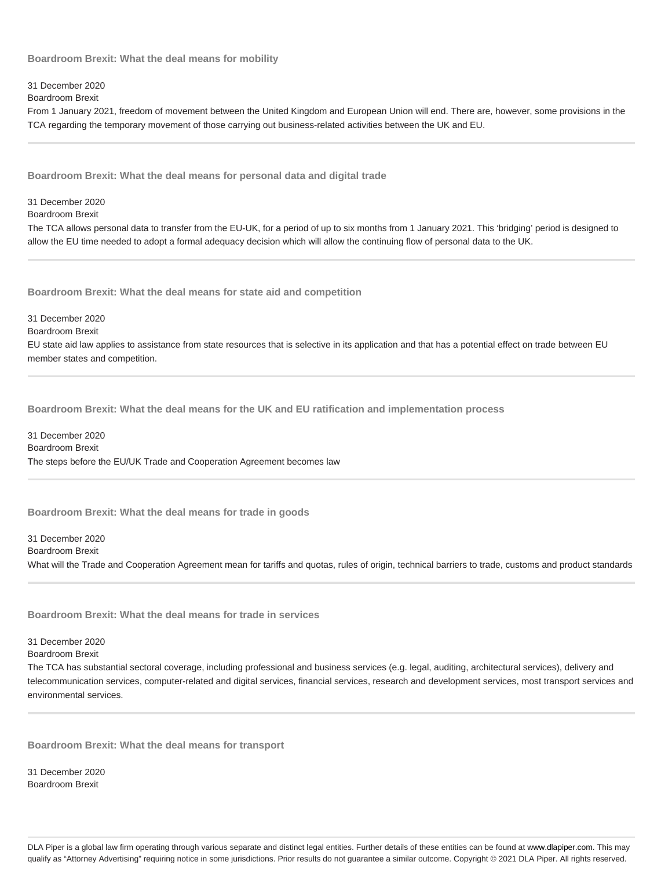**Boardroom Brexit: What the deal means for mobility**

31 December 2020

Boardroom Brexit

From 1 January 2021, freedom of movement between the United Kingdom and European Union will end. There are, however, some provisions in the TCA regarding the temporary movement of those carrying out business-related activities between the UK and EU.

**Boardroom Brexit: What the deal means for personal data and digital trade**

31 December 2020

Boardroom Brexit

The TCA allows personal data to transfer from the EU-UK, for a period of up to six months from 1 January 2021. This 'bridging' period is designed to allow the EU time needed to adopt a formal adequacy decision which will allow the continuing flow of personal data to the UK.

**Boardroom Brexit: What the deal means for state aid and competition**

31 December 2020

Boardroom Brexit

EU state aid law applies to assistance from state resources that is selective in its application and that has a potential effect on trade between EU member states and competition.

**Boardroom Brexit: What the deal means for the UK and EU ratification and implementation process**

31 December 2020 Boardroom Brexit The steps before the EU/UK Trade and Cooperation Agreement becomes law

**Boardroom Brexit: What the deal means for trade in goods**

31 December 2020 Boardroom Brexit What will the Trade and Cooperation Agreement mean for tariffs and quotas, rules of origin, technical barriers to trade, customs and product standards

**Boardroom Brexit: What the deal means for trade in services**

31 December 2020

Boardroom Brexit

The TCA has substantial sectoral coverage, including professional and business services (e.g. legal, auditing, architectural services), delivery and telecommunication services, computer-related and digital services, financial services, research and development services, most transport services and environmental services.

**Boardroom Brexit: What the deal means for transport**

31 December 2020 Boardroom Brexit

DLA Piper is a global law firm operating through various separate and distinct legal entities. Further details of these entities can be found at www.dlapiper.com. This may qualify as "Attorney Advertising" requiring notice in some jurisdictions. Prior results do not guarantee a similar outcome. Copyright @ 2021 DLA Piper. All rights reserved.